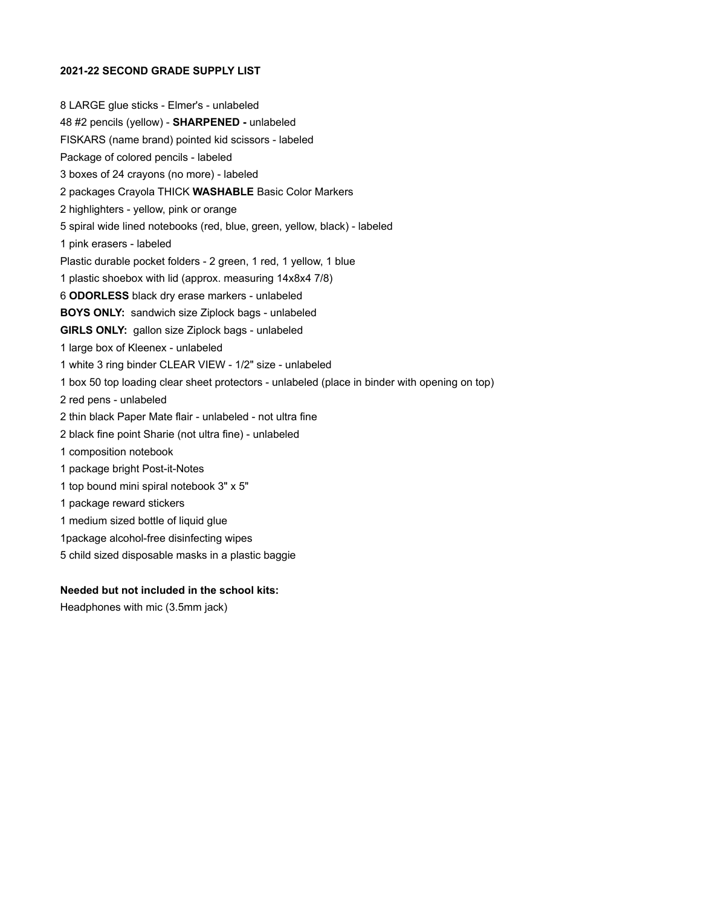#### 2021-22 SECOND GRADE SUPPLY LIST

8 LARGE glue sticks - Elmer's - unlabeled 48 #2 pencils (yellow) - SHARPENED - unlabeled FISKARS (name brand) pointed kid scissors - labeled Package of colored pencils - labeled 3 boxes of 24 crayons (no more) - labeled 2 packages Crayola THICK WASHABLE Basic Color Markers 2 highlighters - yellow, pink or orange 5 spiral wide lined notebooks (red, blue, green, yellow, black) - labeled 1 pink erasers - labeled Plastic durable pocket folders - 2 green, 1 red, 1 yellow, 1 blue 1 plastic shoebox with lid (approx. measuring 14x8x4 7/8) 6 ODORLESS black dry erase markers - unlabeled BOYS ONLY: sandwich size Ziplock bags - unlabeled GIRLS ONLY: gallon size Ziplock bags - unlabeled 1 large box of Kleenex - unlabeled 1 white 3 ring binder CLEAR VIEW - 1/2" size - unlabeled 1 box 50 top loading clear sheet protectors - unlabeled (place in binder with opening on top) 2 red pens - unlabeled 2 thin black Paper Mate flair - unlabeled - not ultra fine 2 black fine point Sharie (not ultra fine) - unlabeled 1 composition notebook 1 package bright Post-it-Notes 1 top bound mini spiral notebook 3" x 5" 1 package reward stickers 1 medium sized bottle of liquid glue 1package alcohol-free disinfecting wipes 5 child sized disposable masks in a plastic baggie

#### Needed but not included in the school kits:

Headphones with mic (3.5mm jack)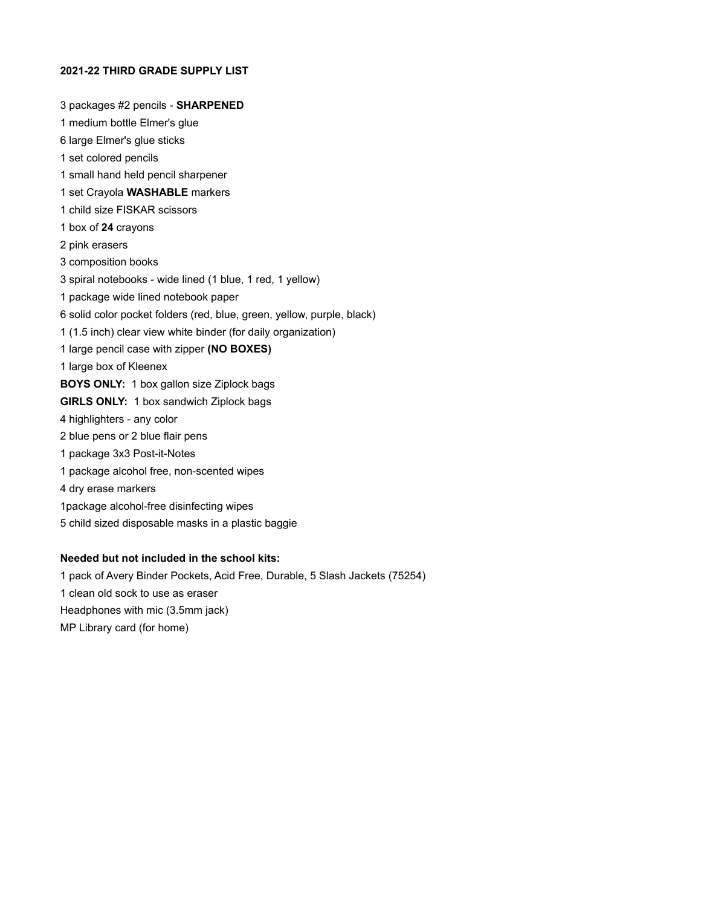### 2021-22 THIRD GRADE SUPPLY LIST

3 packages #2 pencils - SHARPENED 1 medium bottle Elmer's glue 6 large Elmer's glue sticks 1 set colored pencils 1 small hand held pencil sharpener 1 set Crayola WASHABLE markers 1 child size FISKAR scissors 1 box of 24 crayons 2 pink erasers 3 composition books 3 spiral notebooks - wide lined (1 blue, 1 red, 1 yellow) 1 package wide lined notebook paper 6 solid color pocket folders (red, blue, green, yellow, purple, black) 1 (1.5 inch) clear view white binder (for daily organization) 1 large pencil case with zipper (NO BOXES) 1 large box of Kleenex BOYS ONLY: 1 box gallon size Ziplock bags GIRLS ONLY: 1 box sandwich Ziplock bags 4 highlighters - any color 2 blue pens or 2 blue flair pens 1 package 3x3 Post-it-Notes 1 package alcohol free, non-scented wipes 4 dry erase markers 1package alcohol-free disinfecting wipes 5 child sized disposable masks in a plastic baggie

# Needed but not included in the school kits:

1 pack of Avery Binder Pockets, Acid Free, Durable, 5 Slash Jackets (75254) 1 clean old sock to use as eraser Headphones with mic (3.5mm jack) MP Library card (for home)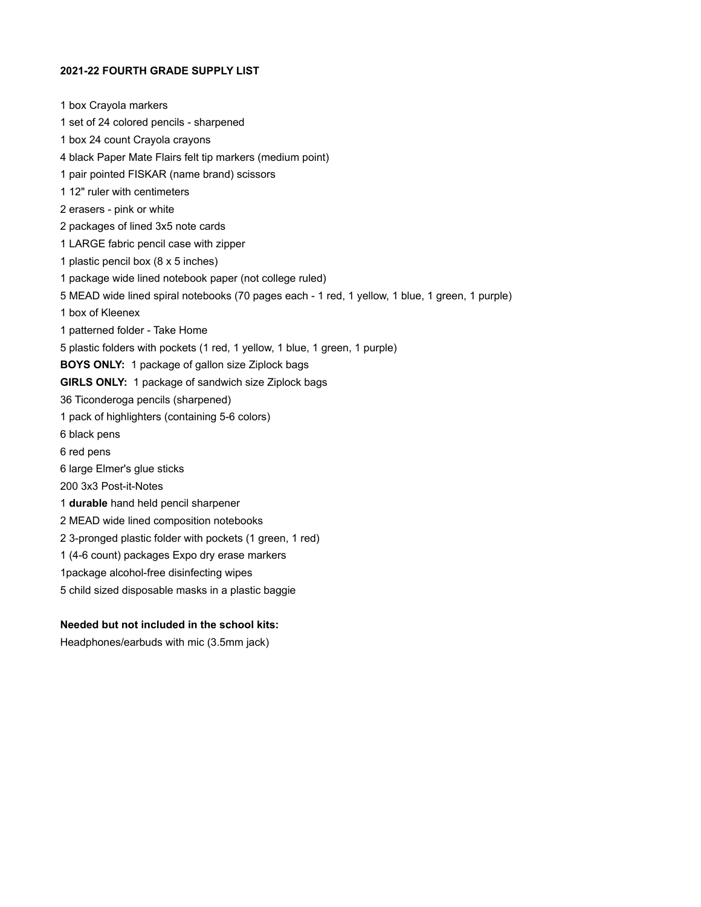### 2021-22 FOURTH GRADE SUPPLY LIST

1 box Crayola markers 1 set of 24 colored pencils - sharpened 1 box 24 count Crayola crayons 4 black Paper Mate Flairs felt tip markers (medium point) 1 pair pointed FISKAR (name brand) scissors 1 12" ruler with centimeters 2 erasers - pink or white 2 packages of lined 3x5 note cards 1 LARGE fabric pencil case with zipper 1 plastic pencil box (8 x 5 inches) 1 package wide lined notebook paper (not college ruled) 5 MEAD wide lined spiral notebooks (70 pages each - 1 red, 1 yellow, 1 blue, 1 green, 1 purple) 1 box of Kleenex 1 patterned folder - Take Home 5 plastic folders with pockets (1 red, 1 yellow, 1 blue, 1 green, 1 purple) BOYS ONLY: 1 package of gallon size Ziplock bags GIRLS ONLY: 1 package of sandwich size Ziplock bags 36 Ticonderoga pencils (sharpened) 1 pack of highlighters (containing 5-6 colors) 6 black pens 6 red pens 6 large Elmer's glue sticks 200 3x3 Post-it-Notes 1 durable hand held pencil sharpener 2 MEAD wide lined composition notebooks 2 3-pronged plastic folder with pockets (1 green, 1 red) 1 (4-6 count) packages Expo dry erase markers 1package alcohol-free disinfecting wipes 5 child sized disposable masks in a plastic baggie

# Needed but not included in the school kits:

Headphones/earbuds with mic (3.5mm jack)